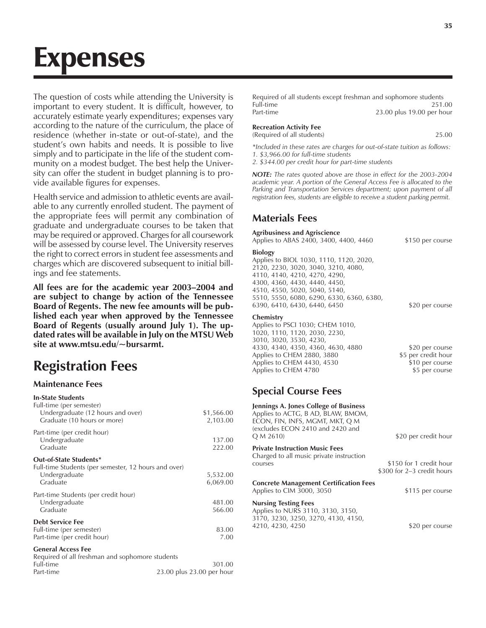# Expenses

The question of costs while attending the University is important to every student. It is difficult, however, to accurately estimate yearly expenditures; expenses vary according to the nature of the curriculum, the place of residence (whether in-state or out-of-state), and the student's own habits and needs. It is possible to live simply and to participate in the life of the student community on a modest budget. The best help the University can offer the student in budget planning is to provide available figures for expenses.

Health service and admission to athletic events are available to any currently enrolled student. The payment of the appropriate fees will permit any combination of graduate and undergraduate courses to be taken that may be required or approved. Charges for all coursework will be assessed by course level. The University reserves the right to correct errors in student fee assessments and charges which are discovered subsequent to initial billings and fee statements.

All fees are for the academic year 2003-2004 and **are subject to change by action of the Tennessee Board of Regents. The new fee amounts will be published each year when approved by the Tennessee Board of Regents (usually around July 1). The updated rates will be available in July on the MTSU Web site at www.mtsu.edu/~bursarmt.**

# **Registration Fees**

#### **Maintenance Fees**

| <b>In-State Students</b><br>Full-time (per semester)                         |            |
|------------------------------------------------------------------------------|------------|
| Undergraduate (12 hours and over)                                            | \$1,566.00 |
| Graduate (10 hours or more)                                                  | 2,103.00   |
| Part-time (per credit hour)                                                  |            |
| Undergraduate                                                                | 137.00     |
| Graduate                                                                     | 222.00     |
| Out-of-State Students*                                                       |            |
| Full-time Students (per semester, 12 hours and over)                         |            |
| Undergraduate                                                                | 5,532.00   |
| Graduate                                                                     | 6,069.00   |
| Part-time Students (per credit hour)                                         |            |
| Undergraduate                                                                | 481.00     |
| Graduate                                                                     | 566.00     |
| <b>Debt Service Fee</b>                                                      |            |
| Full-time (per semester)                                                     | 83.00      |
| Part-time (per credit hour)                                                  | 7.00       |
| <b>General Access Fee</b><br>Required of all freshman and sophomore students |            |

Full-time 301.00 Part-time 23.00 plus 23.00 per hour

| Required of all students except freshman and sophomore students |                           |
|-----------------------------------------------------------------|---------------------------|
| Full-time                                                       | 251.00                    |
| Part-time                                                       | 23.00 plus 19.00 per hour |

| Recreation Activity Fee    |       |
|----------------------------|-------|
| (Required of all students) | 25.00 |

*\*Included in these rates are charges for out-of-state tuition as follows: 1. \$3,966.00 for full-time students*

*2. \$344.00 per credit hour for part-time students*

*NOTE: The rates quoted above are those in effect for the 2003-2004 academic year. A portion of the General Access Fee is allocated to the Parking and Transportation Services department; upon payment of all registration fees, students are eligible to receive a student parking permit.*

#### **Materials Fees**

#### **Agribusiness and Agriscience**

Applies to ABAS 2400, 3400, 4400, 4460 \$150 per course

#### **Biology**

Applies to BIOL 1030, 1110, 1120, 2020, 2120, 2230, 3020, 3040, 3210, 4080, 4110, 4140, 4210, 4270, 4290, 4300, 4360, 4430, 4440, 4450, 4510, 4550, 5020, 5040, 5140, 5510, 5550, 6080, 6290, 6330, 6360, 6380, 6390, 6410, 6430, 6440, 6450 \$20 per course

#### **Chemistry**

Applies to PSCI 1030; CHEM 1010, 1020, 1110, 1120, 2030, 2230, 3010, 3020, 3530, 4230, 4330, 4340, 4350, 4360, 4630, 4880 \$20 per course Applies to CHEM 2880, 3880 \$5 per credit hour Applies to CHEM 4430, 4530 \$10 per course<br>Applies to CHEM 4780 \$5 per course Applies to CHEM 4780

# **Special Course Fees**

| Jennings A. Jones College of Business<br>Applies to ACTG, B AD, BLAW, BMOM,<br>econ, fin, infs, mgmt, mkt, q m<br>(excludes ECON 2410 and 2420 and<br>Q M 2610) | \$20 per credit hour                                  |
|-----------------------------------------------------------------------------------------------------------------------------------------------------------------|-------------------------------------------------------|
| <b>Private Instruction Music Fees</b><br>Charged to all music private instruction<br>courses                                                                    | \$150 for 1 credit hour<br>\$300 for 2–3 credit hours |
| Concrete Management Certification Fees<br>Applies to CIM 3000, 3050                                                                                             | \$115 per course                                      |
| Nursing Testing Fees<br>Applies to NURS 3110, 3130, 3150,<br>3170, 3230, 3250, 3270, 4130, 4150,<br>4210, 4230, 4250                                            | \$20 per course                                       |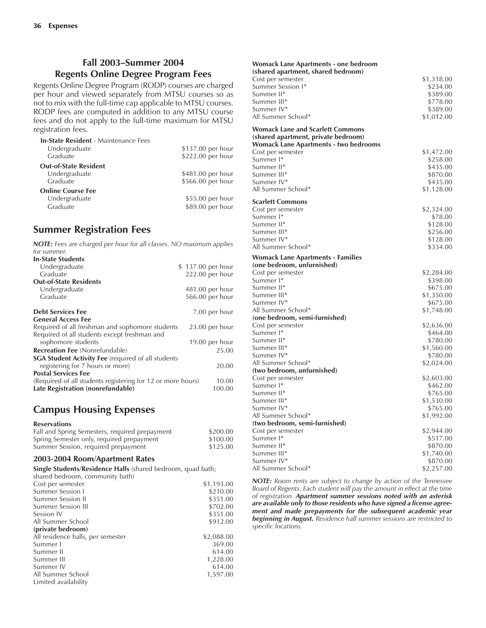#### **Fall 2003-Summer 2004 Regents Online Degree Program Fees**

Regents Online Degree Program (RODP) courses are charged per hour and viewed separately from MTSU courses so as not to mix with the full-time cap applicable to MTSU courses. RODP fees are computed in addition to any MTSU course fees and do not apply to the full-time maximum for MTSU registration fees.

| <b>In-State Resident - Maintenance Fees</b> |                   |
|---------------------------------------------|-------------------|
| Undergraduate                               | \$137.00 per hour |
| Graduate                                    | \$222.00 per hour |
| <b>Out-of-State Resident</b>                |                   |
| Undergraduate                               | \$481.00 per hour |
| Graduate                                    | \$566.00 per hour |
| <b>Online Course Fee</b>                    |                   |
| Undergraduate                               | \$55.00 per hour  |
| Graduate                                    | \$89.00 per hour  |
|                                             |                   |

# **Summer Registration Fees**

| <b>NOTE:</b> Fees are charged per hour for all classes. NO maximum applies<br>for summer. |                   |
|-------------------------------------------------------------------------------------------|-------------------|
| <b>In-State Students</b>                                                                  |                   |
|                                                                                           |                   |
| Undergraduate                                                                             | \$137.00 per hour |
| Graduate                                                                                  | 222.00 per hour   |
| <b>Out-of-State Residents</b>                                                             |                   |
| Undergraduate                                                                             | 481.00 per hour   |
| Graduate                                                                                  | 566.00 per hour   |
| <b>Debt Services Fee</b>                                                                  | 7.00 per hour     |
| <b>General Access Fee</b>                                                                 |                   |
| Required of all freshman and sophomore students                                           | $23.00$ per hour  |
| Required of all students except freshman and                                              |                   |
| sophomore students                                                                        | 19.00 per hour    |
| <b>Recreation Fee</b> (Nonrefundable)                                                     | 25.00             |
| <b>SGA Student Activity Fee</b> (required of all students                                 |                   |
| registering for 7 hours or more)                                                          | 20.00             |
| <b>Postal Services Fee</b>                                                                |                   |
| (Required of all students registering for 12 or more hours)                               | 10.00             |
| Late Registration (nonrefundable)                                                         | 100.00            |

# **Campus Housing Expenses**

#### **Reservations**

| Fall and Spring Semesters, required prepayment | \$200.00 |
|------------------------------------------------|----------|
| Spring Semester only, required prepayment      | \$100.00 |
| Summer Session, required prepayment            | \$125.00 |

#### **2003-2004 Room/Apartment Rates**

**Single Students/Residence Halls** (shared bedroom, quad bath;

| shared bedroom, community bath)   |            |
|-----------------------------------|------------|
| Cost per semester                 | \$1,193,00 |
| Summer Session I                  | \$210.00   |
| Summer Session II                 | \$351.00   |
| Summer Session III                | \$702.00   |
| Session IV                        | \$351.00   |
| All Summer School                 | \$912.00   |
| (private bedroom)                 |            |
| All residence halls, per semester | \$2,088,00 |
| Summer I                          | 369.00     |
| Summer II                         | 614.00     |
| Summer III                        | 1,228.00   |
| Summer IV                         | 614.00     |
| All Summer School                 | 1,597.00   |
| Limited availability              |            |
|                                   |            |

| <b>Womack Lane Apartments - one bedroom</b><br>(shared apartment, shared bedroom) |            |
|-----------------------------------------------------------------------------------|------------|
| Cost per semester                                                                 | \$1,318.00 |
| Summer Session I*                                                                 | \$234.00   |
| Summer II*                                                                        | \$389.00   |
| Summer III*                                                                       | \$778.00   |
| Summer IV*                                                                        | \$389.00   |
| All Summer School*                                                                | \$1,012.00 |
| Womack Lane and Scarlett Commons                                                  |            |
| (shared apartment, private bedroom)                                               |            |
| <b>Womack Lane Apartments - two bedrooms</b><br>Cost per semester                 | \$1,472.00 |
| Summer I*                                                                         | \$258.00   |
| Summer II*                                                                        | \$435.00   |
| Summer III*                                                                       | \$870.00   |
| Summer IV*                                                                        | \$435.00   |
| All Summer School*                                                                | \$1,128.00 |
|                                                                                   |            |
| <b>Scarlett Commons</b>                                                           |            |
| Cost per semester                                                                 | \$2,324.00 |
| Summer I*                                                                         | \$78.00    |
| Summer II*                                                                        | \$128.00   |
| Summer III*                                                                       | \$256.00   |
| Summer IV*                                                                        | \$128.00   |
| All Summer School*                                                                | \$334.00   |
| Womack Lane Apartments - Families<br>(one bedroom, unfurnished)                   |            |
| Cost per semester                                                                 | \$2,284.00 |
| Summer I*                                                                         | \$398.00   |
| Summer II*                                                                        | \$675.00   |
| Summer III*                                                                       | \$1,350.00 |
| Summer IV*                                                                        | \$675.00   |
| All Summer School*                                                                | \$1,748.00 |
| (one bedroom, semi-furnished)                                                     |            |
| Cost per semester                                                                 | \$2,636.00 |
| Summer I*                                                                         | \$464.00   |
| Summer II*                                                                        | \$780.00   |
| Summer III*                                                                       | \$1,560.00 |
| Summer IV*                                                                        | \$780.00   |
| All Summer School*                                                                | \$2,024.00 |
| (two bedroom, unfurnished)                                                        |            |
| Cost per semester                                                                 | \$2,603.00 |
| Summer I*                                                                         | \$462.00   |
| Summer II*                                                                        | \$765.00   |
| Summer III*                                                                       | \$1,530.00 |
| Summer IV*                                                                        | \$765.00   |
| All Summer School*                                                                | \$1,992.00 |
| (two bedroom, semi-furnished)                                                     |            |
| Cost per semester                                                                 | \$2,944.00 |
| Summer I*                                                                         | \$517.00   |
| Summer II*                                                                        | \$870.00   |
| Summer III*                                                                       | \$1,740.00 |
| Summer IV*                                                                        | \$870.00   |
| All Summer School*                                                                | \$2.257.00 |

*NOTE: Room rents are subject to change by action of the Tennessee Board of Regents. Each student will pay the amount in effect at the time of registration. Apartment summer sessions noted with an asterisk are available only to those residents who have signed a license agreement and made prepayments for the subsequent academic year beginning in August. Residence hall summer sessions are restricted to specific locations.*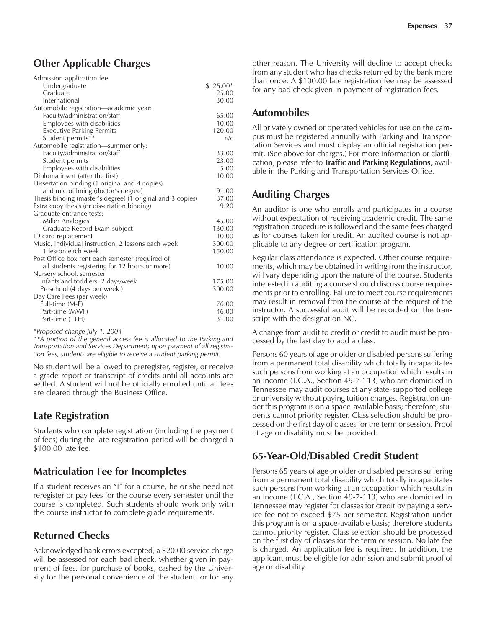# **Other Applicable Charges**

| Admission application fee                                  |           |
|------------------------------------------------------------|-----------|
| Undergraduate                                              | $$25.00*$ |
| Graduate                                                   | 25.00     |
| International                                              | 30.00     |
| Automobile registration-academic year:                     |           |
| Faculty/administration/staff                               | 65.00     |
| Employees with disabilities                                | 10.00     |
| <b>Executive Parking Permits</b>                           | 120.00    |
| Student permits**                                          | n/c       |
| Automobile registration—summer only:                       |           |
| Faculty/administration/staff                               | 33.00     |
| Student permits                                            | 23.00     |
| Employees with disabilities                                | 5.00      |
| Diploma insert (after the first)                           | 10.00     |
| Dissertation binding (1 original and 4 copies)             |           |
| and microfilming (doctor's degree)                         | 91.00     |
| Thesis binding (master's degree) (1 original and 3 copies) | 37.00     |
| Extra copy thesis (or dissertation binding)                | 9.20      |
| Graduate entrance tests:                                   |           |
| Miller Analogies                                           | 45.00     |
| Graduate Record Exam-subject                               | 130.00    |
| ID card replacement                                        | 10.00     |
| Music, individual instruction, 2 lessons each week         | 300.00    |
| 1 lesson each week                                         | 150.00    |
| Post Office box rent each semester (required of            |           |
| all students registering for 12 hours or more)             | 10.00     |
| Nursery school, semester                                   |           |
| Infants and toddlers, 2 days/week                          | 175.00    |
| Preschool (4 days per week)                                | 300.00    |
| Day Care Fees (per week)                                   |           |
| Full-time (M-F)                                            | 76.00     |
| Part-time (MWF)                                            | 46.00     |
| Part-time (TTH)                                            | 31.00     |
|                                                            |           |

*\*Proposed change July 1, 2004*

*\*\*A portion of the general access fee is allocated to the Parking and Transportation and Services Department; upon payment of all registration fees, students are eligible to receive a student parking permit.*

No student will be allowed to preregister, register, or receive a grade report or transcript of credits until all accounts are settled. A student will not be officially enrolled until all fees are cleared through the Business Office.

# **Late Registration**

Students who complete registration (including the payment of fees) during the late registration period will be charged a \$100.00 late fee.

# **Matriculation Fee for Incompletes**

If a student receives an "I" for a course, he or she need not reregister or pay fees for the course every semester until the course is completed. Such students should work only with the course instructor to complete grade requirements.

# **Returned Checks**

Acknowledged bank errors excepted, a \$20.00 service charge will be assessed for each bad check, whether given in payment of fees, for purchase of books, cashed by the University for the personal convenience of the student, or for any other reason. The University will decline to accept checks from any student who has checks returned by the bank more than once. A \$100.00 late registration fee may be assessed for any bad check given in payment of registration fees.

# **Automobiles**

All privately owned or operated vehicles for use on the campus must be registered annually with Parking and Transportation Services and must display an official registration permit. (See above for charges.) For more information or clarification, please refer to **Traffic and Parking Regulations,** available in the Parking and Transportation Services Office.

# **Auditing Charges**

An auditor is one who enrolls and participates in a course without expectation of receiving academic credit. The same registration procedure is followed and the same fees charged as for courses taken for credit. An audited course is not applicable to any degree or certification program.

Regular class attendance is expected. Other course requirements, which may be obtained in writing from the instructor, will vary depending upon the nature of the course. Students interested in auditing a course should discuss course requirements prior to enrolling. Failure to meet course requirements may result in removal from the course at the request of the instructor. A successful audit will be recorded on the transcript with the designation NC.

A change from audit to credit or credit to audit must be processed by the last day to add a class.

Persons 60 years of age or older or disabled persons suffering from a permanent total disability which totally incapacitates such persons from working at an occupation which results in an income (T.C.A., Section 49-7-113) who are domiciled in Tennessee may audit courses at any state-supported college or university without paying tuition charges. Registration under this program is on a space-available basis; therefore, students cannot priority register. Class selection should be processed on the first day of classes for the term or session. Proof of age or disability must be provided.

# **65-Year-Old/Disabled Credit Student**

Persons 65 years of age or older or disabled persons suffering from a permanent total disability which totally incapacitates such persons from working at an occupation which results in an income (T.C.A., Section 49-7-113) who are domiciled in Tennessee may register for classes for credit by paying a service fee not to exceed \$75 per semester. Registration under this program is on a space-available basis; therefore students cannot priority register. Class selection should be processed on the first day of classes for the term or session. No late fee is charged. An application fee is required. In addition, the applicant must be eligible for admission and submit proof of age or disability.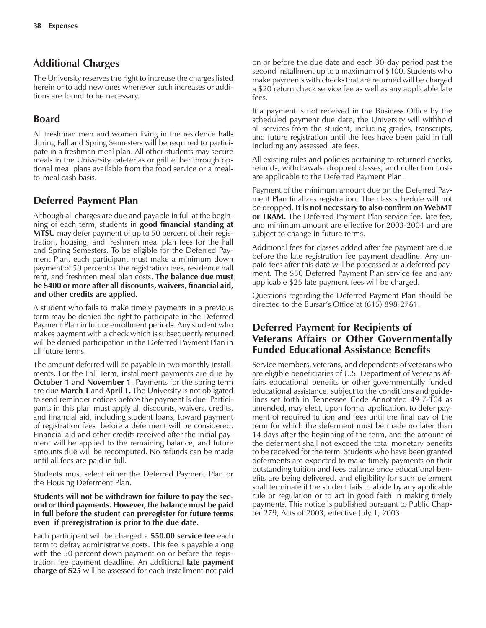### **Additional Charges**

The University reserves the right to increase the charges listed herein or to add new ones whenever such increases or additions are found to be necessary.

# **Board**

All freshman men and women living in the residence halls during Fall and Spring Semesters will be required to participate in a freshman meal plan. All other students may secure meals in the University cafeterias or grill either through optional meal plans available from the food service or a mealto-meal cash basis.

### **Deferred Payment Plan**

Although all charges are due and payable in full at the beginning of each term, students in **good financial standing at MTSU** may defer payment of up to 50 percent of their registration, housing, and freshmen meal plan fees for the Fall and Spring Semesters. To be eligible for the Deferred Payment Plan, each participant must make a minimum down payment of 50 percent of the registration fees, residence hall rent, and freshmen meal plan costs. **The balance due must be \$400 or more after all discounts, waivers, financial aid, and other credits are applied.**

A student who fails to make timely payments in a previous term may be denied the right to participate in the Deferred Payment Plan in future enrollment periods. Any student who makes payment with a check which is subsequently returned will be denied participation in the Deferred Payment Plan in all future terms.

The amount deferred will be payable in two monthly installments. For the Fall Term, installment payments are due by **October 1** and **November 1**. Payments for the spring term are due **March 1** and **April 1.** The University is not obligated to send reminder notices before the payment is due. Participants in this plan must apply all discounts, waivers, credits, and financial aid, including student loans, toward payment of registration fees before a deferment will be considered. Financial aid and other credits received after the initial payment will be applied to the remaining balance, and future amounts due will be recomputed. No refunds can be made until all fees are paid in full.

Students must select either the Deferred Payment Plan or the Housing Deferment Plan.

#### **Students will not be withdrawn for failure to pay the second or third payments. However, the balance must be paid in full before the student can preregister for future terms even if preregistration is prior to the due date.**

Each participant will be charged a **\$50.00 service fee** each term to defray administrative costs. This fee is payable along with the 50 percent down payment on or before the registration fee payment deadline. An additional **late payment charge of \$25** will be assessed for each installment not paid

on or before the due date and each 30-day period past the second installment up to a maximum of \$100. Students who make payments with checks that are returned will be charged a \$20 return check service fee as well as any applicable late fees.

If a payment is not received in the Business Office by the scheduled payment due date, the University will withhold all services from the student, including grades, transcripts, and future registration until the fees have been paid in full including any assessed late fees.

All existing rules and policies pertaining to returned checks, refunds, withdrawals, dropped classes, and collection costs are applicable to the Deferred Payment Plan.

Payment of the minimum amount due on the Deferred Payment Plan finalizes registration. The class schedule will not be dropped. **It is not necessary to also confirm on WebMT or TRAM.** The Deferred Payment Plan service fee, late fee, and minimum amount are effective for 2003-2004 and are subject to change in future terms.

Additional fees for classes added after fee payment are due before the late registration fee payment deadline. Any unpaid fees after this date will be processed as a deferred payment. The \$50 Deferred Payment Plan service fee and any applicable \$25 late payment fees will be charged.

Questions regarding the Deferred Payment Plan should be directed to the Bursar's Office at (615) 898-2761.

#### **Deferred Payment for Recipients of Veterans Affairs or Other Governmentally Funded Educational Assistance Benefits**

Service members, veterans, and dependents of veterans who are eligible beneficiaries of U.S. Department of Veterans Affairs educational benefits or other governmentally funded educational assistance, subject to the conditions and guidelines set forth in Tennessee Code Annotated 49-7-104 as amended, may elect, upon formal application, to defer payment of required tuition and fees until the final day of the term for which the deferment must be made no later than 14 days after the beginning of the term, and the amount of the deferment shall not exceed the total monetary benefits to be received for the term. Students who have been granted deferments are expected to make timely payments on their outstanding tuition and fees balance once educational benefits are being delivered, and eligibility for such deferment shall terminate if the student fails to abide by any applicable rule or regulation or to act in good faith in making timely payments. This notice is published pursuant to Public Chapter 279, Acts of 2003, effective July 1, 2003.